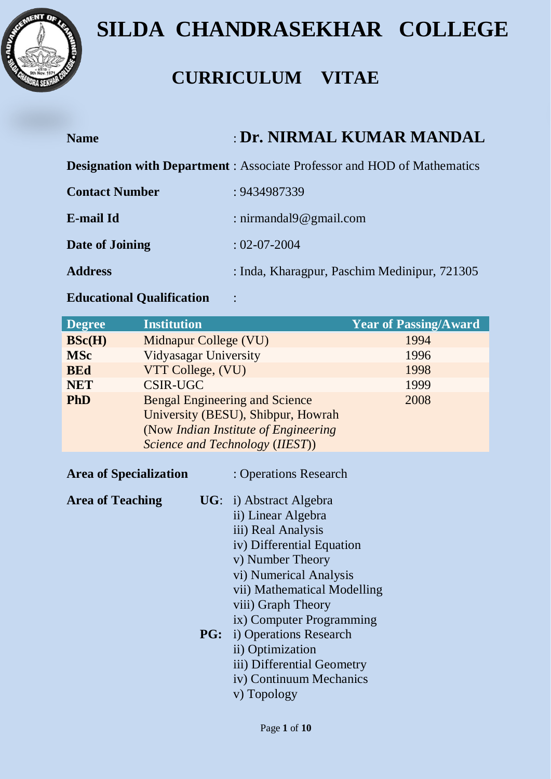

### **CURRICULUM VITAE**

| <b>Name</b>           | <b>: Dr. NIRMAL KUMAR MANDAL</b>                                                |
|-----------------------|---------------------------------------------------------------------------------|
|                       | <b>Designation with Department</b> : Associate Professor and HOD of Mathematics |
| <b>Contact Number</b> | : 9434987339                                                                    |
| E-mail Id             | : nirmandal $9@$ gmail.com                                                      |
| Date of Joining       | $: 02 - 07 - 2004$                                                              |
| <b>Address</b>        | : Inda, Kharagpur, Paschim Medinipur, 721305                                    |

### **Educational Qualification** :

| <b>Degree</b> | <b>Institution</b>                    | <b>Year of Passing/Award</b> |
|---------------|---------------------------------------|------------------------------|
| BSc(H)        | Midnapur College (VU)                 | 1994                         |
| <b>MSc</b>    | Vidyasagar University                 | 1996                         |
| <b>BEd</b>    | VTT College, (VU)                     | 1998                         |
| <b>NET</b>    | <b>CSIR-UGC</b>                       | 1999                         |
| <b>PhD</b>    | <b>Bengal Engineering and Science</b> | 2008                         |
|               | University (BESU), Shibpur, Howrah    |                              |
|               | (Now Indian Institute of Engineering) |                              |
|               | Science and Technology (IIEST))       |                              |

| <b>Area of Specialization</b> | : Operations Research              |
|-------------------------------|------------------------------------|
| <b>Area of Teaching</b>       | $\mathbf{UG:}$ i) Abstract Algebra |
|                               | ii) Linear Algebra                 |
|                               | iii) Real Analysis                 |
|                               | iv) Differential Equation          |
|                               | v) Number Theory                   |
|                               | vi) Numerical Analysis             |
|                               | vii) Mathematical Modelling        |
|                               | viii) Graph Theory                 |
|                               | ix) Computer Programming           |
|                               | <b>PG:</b> i) Operations Research  |
|                               | ii) Optimization                   |
|                               | iii) Differential Geometry         |
|                               | iv) Continuum Mechanics            |
|                               | v) Topology                        |
|                               |                                    |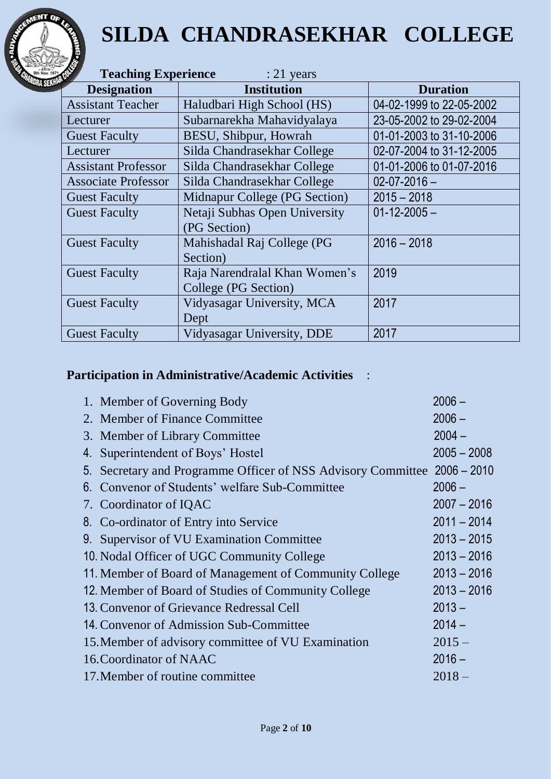

| <b>Teaching Experience</b><br>$: 21$ years |                               |                          |  |  |
|--------------------------------------------|-------------------------------|--------------------------|--|--|
| <b>Designation</b>                         | <b>Institution</b>            | <b>Duration</b>          |  |  |
| <b>Assistant Teacher</b>                   | Haludbari High School (HS)    | 04-02-1999 to 22-05-2002 |  |  |
| Lecturer                                   | Subarnarekha Mahavidyalaya    | 23-05-2002 to 29-02-2004 |  |  |
| <b>Guest Faculty</b>                       | BESU, Shibpur, Howrah         | 01-01-2003 to 31-10-2006 |  |  |
| Lecturer                                   | Silda Chandrasekhar College   | 02-07-2004 to 31-12-2005 |  |  |
| <b>Assistant Professor</b>                 | Silda Chandrasekhar College   | 01-01-2006 to 01-07-2016 |  |  |
| <b>Associate Professor</b>                 | Silda Chandrasekhar College   | $02 - 07 - 2016 -$       |  |  |
| <b>Guest Faculty</b>                       | Midnapur College (PG Section) | $2015 - 2018$            |  |  |
| <b>Guest Faculty</b>                       | Netaji Subhas Open University | $01 - 12 - 2005 -$       |  |  |
|                                            | (PG Section)                  |                          |  |  |
| <b>Guest Faculty</b>                       | Mahishadal Raj College (PG    | $2016 - 2018$            |  |  |
|                                            | Section)                      |                          |  |  |
| <b>Guest Faculty</b>                       | Raja Narendralal Khan Women's | 2019                     |  |  |
|                                            | College (PG Section)          |                          |  |  |
| <b>Guest Faculty</b>                       | Vidyasagar University, MCA    | 2017                     |  |  |
|                                            | Dept                          |                          |  |  |
| <b>Guest Faculty</b>                       | Vidyasagar University, DDE    | 2017                     |  |  |

### **Participation in Administrative/Academic Activities** :

|    | 1. Member of Governing Body                                              | $2006 -$      |
|----|--------------------------------------------------------------------------|---------------|
|    | 2. Member of Finance Committee                                           | $2006 -$      |
|    | 3. Member of Library Committee                                           | $2004 -$      |
| 4. | Superintendent of Boys' Hostel                                           | $2005 - 2008$ |
|    | 5. Secretary and Programme Officer of NSS Advisory Committee 2006 – 2010 |               |
|    | 6. Convenor of Students' welfare Sub-Committee                           | $2006 -$      |
|    | 7. Coordinator of IQAC                                                   | $2007 - 2016$ |
|    | 8. Co-ordinator of Entry into Service                                    | $2011 - 2014$ |
|    | 9. Supervisor of VU Examination Committee                                | $2013 - 2015$ |
|    | 10. Nodal Officer of UGC Community College                               | $2013 - 2016$ |
|    | 11. Member of Board of Management of Community College                   | $2013 - 2016$ |
|    | 12. Member of Board of Studies of Community College                      | $2013 - 2016$ |
|    | 13. Convenor of Grievance Redressal Cell                                 | $2013 -$      |
|    | 14. Convenor of Admission Sub-Committee                                  | $2014 -$      |
|    | 15. Member of advisory committee of VU Examination                       | $2015 -$      |
|    | 16. Coordinator of NAAC                                                  | $2016 -$      |
|    | 17. Member of routine committee                                          | $2018 -$      |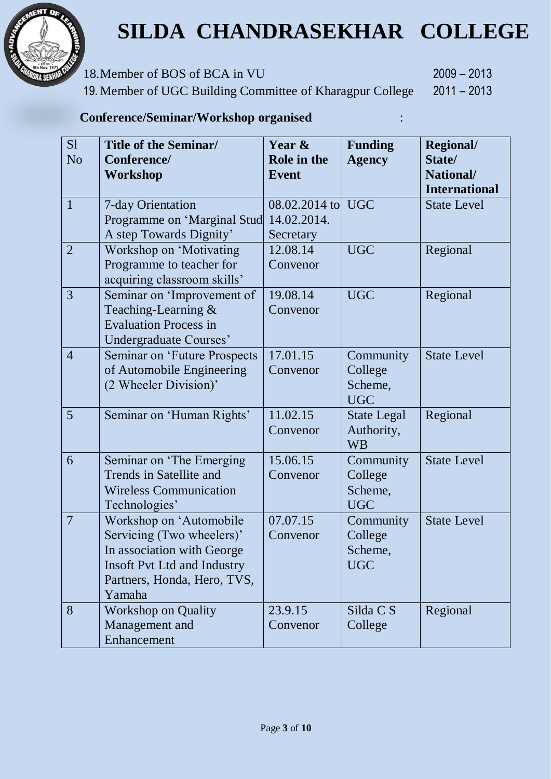

18.Member of BOS of BCA in VU 2009 – 2013

19. Member of UGC Building Committee of Kharagpur College 2011 – 2013

#### **Conference/Seminar/Workshop organised** :

| S1<br>N <sub>o</sub> | <b>Title of the Seminar/</b><br>Conference/<br>Workshop                                                                                                           | Year &<br>Role in the<br><b>Event</b>     | <b>Funding</b><br><b>Agency</b>               | Regional/<br>State/<br>National/<br><b>International</b> |
|----------------------|-------------------------------------------------------------------------------------------------------------------------------------------------------------------|-------------------------------------------|-----------------------------------------------|----------------------------------------------------------|
| $\mathbf{1}$         | 7-day Orientation<br>Programme on 'Marginal Stud<br>A step Towards Dignity'                                                                                       | 08.02.2014 to<br>14.02.2014.<br>Secretary | <b>UGC</b>                                    | <b>State Level</b>                                       |
| $\overline{2}$       | Workshop on 'Motivating<br>Programme to teacher for<br>acquiring classroom skills'                                                                                | 12.08.14<br>Convenor                      | <b>UGC</b>                                    | Regional                                                 |
| 3                    | Seminar on 'Improvement of<br>Teaching-Learning $\&$<br><b>Evaluation Process in</b><br>Undergraduate Courses'                                                    | 19.08.14<br>Convenor                      | <b>UGC</b>                                    | Regional                                                 |
| $\overline{4}$       | <b>Seminar on 'Future Prospects</b><br>of Automobile Engineering<br>(2 Wheeler Division)'                                                                         | 17.01.15<br>Convenor                      | Community<br>College<br>Scheme,<br><b>UGC</b> | <b>State Level</b>                                       |
| 5                    | Seminar on 'Human Rights'                                                                                                                                         | 11.02.15<br>Convenor                      | <b>State Legal</b><br>Authority,<br><b>WB</b> | Regional                                                 |
| 6                    | Seminar on 'The Emerging<br>Trends in Satellite and<br><b>Wireless Communication</b><br>Technologies'                                                             | 15.06.15<br>Convenor                      | Community<br>College<br>Scheme,<br><b>UGC</b> | <b>State Level</b>                                       |
| $\overline{7}$       | Workshop on 'Automobile<br>Servicing (Two wheelers)'<br>In association with George<br><b>Insoft Pvt Ltd and Industry</b><br>Partners, Honda, Hero, TVS,<br>Yamaha | 07.07.15<br>Convenor                      | Community<br>College<br>Scheme,<br><b>UGC</b> | <b>State Level</b>                                       |
| 8                    | <b>Workshop on Quality</b><br>Management and<br>Enhancement                                                                                                       | 23.9.15<br>Convenor                       | Silda C S<br>College                          | Regional                                                 |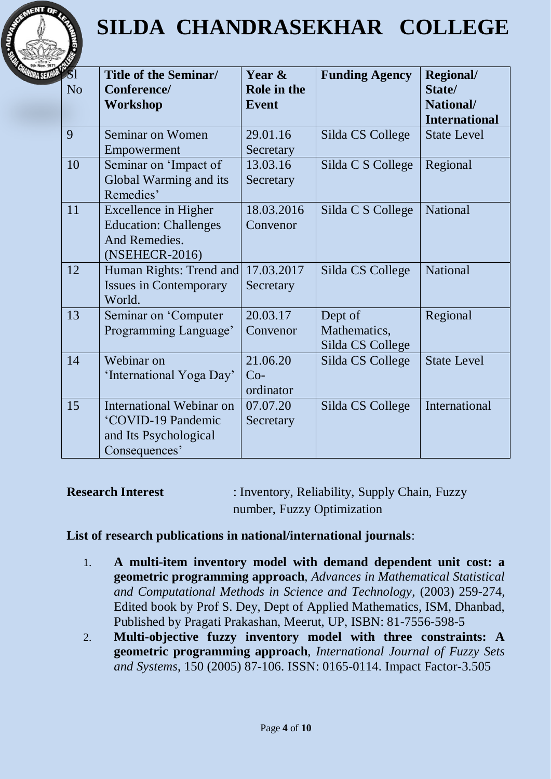

| <b><i>SI</i></b><br>N <sub>o</sub> | Title of the Seminar/<br>Conference/<br>Workshop                                         | Year &<br>Role in the<br><b>Event</b> | <b>Funding Agency</b>                       | <b>Regional/</b><br>State/<br>National/<br><b>International</b> |
|------------------------------------|------------------------------------------------------------------------------------------|---------------------------------------|---------------------------------------------|-----------------------------------------------------------------|
| 9                                  | Seminar on Women<br>Empowerment                                                          | 29.01.16<br>Secretary                 | Silda CS College                            | <b>State Level</b>                                              |
| 10                                 | Seminar on 'Impact of<br>Global Warming and its<br>Remedies'                             | 13.03.16<br>Secretary                 | Silda C S College                           | Regional                                                        |
| 11                                 | Excellence in Higher<br><b>Education: Challenges</b><br>And Remedies.<br>(NSEHECR-2016)  | 18.03.2016<br>Convenor                | Silda C S College                           | National                                                        |
| 12                                 | Human Rights: Trend and<br><b>Issues in Contemporary</b><br>World.                       | 17.03.2017<br>Secretary               | Silda CS College                            | National                                                        |
| 13                                 | Seminar on 'Computer<br>Programming Language'                                            | 20.03.17<br>Convenor                  | Dept of<br>Mathematics,<br>Silda CS College | Regional                                                        |
| 14                                 | Webinar on<br>'International Yoga Day'                                                   | 21.06.20<br>$Co-$<br>ordinator        | Silda CS College                            | <b>State Level</b>                                              |
| 15                                 | International Webinar on<br>'COVID-19 Pandemic<br>and Its Psychological<br>Consequences' | 07.07.20<br>Secretary                 | Silda CS College                            | International                                                   |

**Research Interest** : Inventory, Reliability, Supply Chain, Fuzzy number, Fuzzy Optimization

#### **List of research publications in national/international journals**:

- 1. **A multi-item inventory model with demand dependent unit cost: a geometric programming approach**, *Advances in Mathematical Statistical and Computational Methods in Science and Technology*, (2003) 259-274, Edited book by Prof S. Dey, Dept of Applied Mathematics, ISM, Dhanbad, Published by Pragati Prakashan, Meerut, UP, ISBN: 81-7556-598-5
- 2. **Multi-objective fuzzy inventory model with three constraints: A geometric programming approach**, *International Journal of Fuzzy Sets and Systems*, 150 (2005) 87-106. ISSN: 0165-0114. Impact Factor-3.505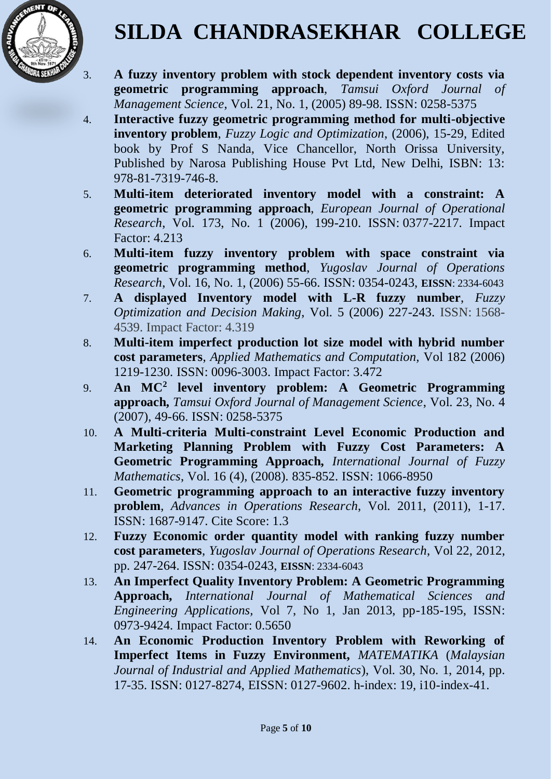

- 3. **A fuzzy inventory problem with stock dependent inventory costs via geometric programming approach**, *Tamsui Oxford Journal of Management Science*, Vol. 21, No. 1, (2005) 89-98. ISSN: 0258-5375
- 4. **Interactive fuzzy geometric programming method for multi-objective inventory problem**, *Fuzzy Logic and Optimization*, (2006), 15-29, Edited book by Prof S Nanda, Vice Chancellor, North Orissa University, Published by Narosa Publishing House Pvt Ltd, New Delhi, ISBN: 13: 978-81-7319-746-8.
- 5. **Multi-item deteriorated inventory model with a constraint: A geometric programming approach**, *European Journal of Operational Research*, Vol. 173, No. 1 (2006), 199-210. ISSN: 0377-2217. Impact Factor: 4.213
- 6. **Multi-item fuzzy inventory problem with space constraint via geometric programming method**, *Yugoslav Journal of Operations Research*, Vol. 16, No. 1, (2006) 55-66. ISSN: 0354-0243, **EISSN**: 2334-6043
- 7. **A displayed Inventory model with L-R fuzzy number**, *Fuzzy Optimization and Decision Making*, Vol. 5 (2006) 227-243. ISSN: 1568- 4539. Impact Factor: 4.319
- 8. **Multi-item imperfect production lot size model with hybrid number cost parameters**, *Applied Mathematics and Computation,* Vol 182 (2006) 1219-1230. ISSN: 0096-3003. Impact Factor: 3.472
- 9. **An MC<sup>2</sup> level inventory problem: A Geometric Programming approach,** *Tamsui Oxford Journal of Management Science*, Vol. 23, No. 4 (2007), 49-66. ISSN: 0258-5375
- 10. **A Multi-criteria Multi-constraint Level Economic Production and Marketing Planning Problem with Fuzzy Cost Parameters: A Geometric Programming Approach,** *International Journal of Fuzzy Mathematics*, Vol. 16 (4), (2008). 835-852. ISSN: [1066-8950](https://www.tib.eu/en/search/?tx_tibsearch_search%5Bquery%5D=issn%3A%281066-8950%29)
- 11. **Geometric programming approach to an interactive fuzzy inventory problem**, *Advances in Operations Research*, Vol. 2011, (2011), 1-17. ISSN: 1687-9147. Cite Score: 1.3
- 12. **Fuzzy Economic order quantity model with ranking fuzzy number cost parameters**, *Yugoslav Journal of Operations Research*, Vol 22, 2012, pp. 247-264. ISSN: 0354-0243, **EISSN**: 2334-6043
- 13. **An Imperfect Quality Inventory Problem: A Geometric Programming Approach,** *International Journal of Mathematical Sciences and Engineering Applications,* Vol 7, No 1, Jan 2013, pp-185-195, ISSN: 0973-9424. Impact Factor: 0.5650
- 14. **An Economic Production Inventory Problem with Reworking of Imperfect Items in Fuzzy Environment,** *MATEMATIKA* (*Malaysian Journal of Industrial and Applied Mathematics*), Vol. 30, No. 1, 2014, pp. 17-35. ISSN: 0127-8274, EISSN: 0127-9602. h-index: 19, i10-index-41.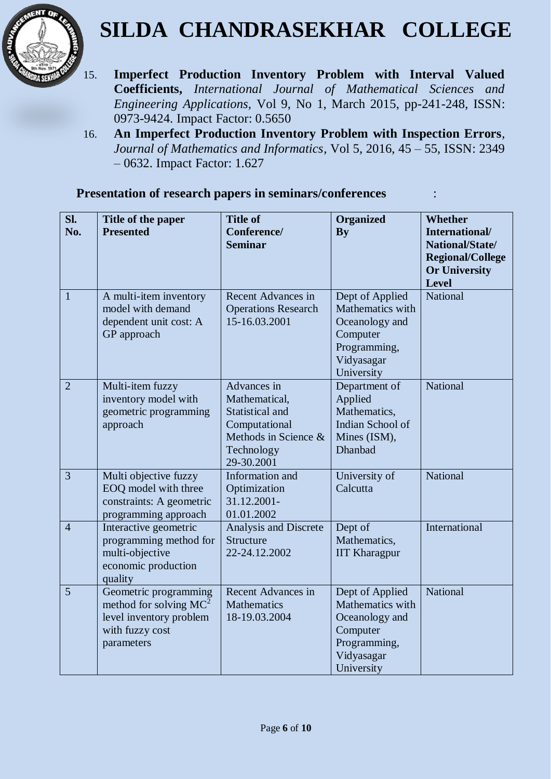

- 15. **Imperfect Production Inventory Problem with Interval Valued Coefficients,** *International Journal of Mathematical Sciences and Engineering Applications,* Vol 9, No 1, March 2015, pp-241-248, ISSN: 0973-9424. Impact Factor: 0.5650
- 16. **An Imperfect Production Inventory Problem with Inspection Errors**, *Journal of Mathematics and Informatics*, Vol 5, 2016, 45 – 55, ISSN: 2349 – 0632. Impact Factor: 1.627

|  |  | Presentation of research papers in seminars/conferences |  |
|--|--|---------------------------------------------------------|--|
|--|--|---------------------------------------------------------|--|

| SI.<br>No.     | Title of the paper<br><b>Presented</b>                                                                         | <b>Title of</b><br>Conference/<br><b>Seminar</b>                                                                     | <b>Organized</b><br>By                                                                                        | <b>Whether</b><br>International/<br>National/State/<br><b>Regional/College</b><br><b>Or University</b><br><b>Level</b> |
|----------------|----------------------------------------------------------------------------------------------------------------|----------------------------------------------------------------------------------------------------------------------|---------------------------------------------------------------------------------------------------------------|------------------------------------------------------------------------------------------------------------------------|
| $\mathbf{1}$   | A multi-item inventory<br>model with demand<br>dependent unit cost: A<br>GP approach                           | Recent Advances in<br><b>Operations Research</b><br>15-16.03.2001                                                    | Dept of Applied<br>Mathematics with<br>Oceanology and<br>Computer<br>Programming,<br>Vidyasagar<br>University | National                                                                                                               |
| $\overline{2}$ | Multi-item fuzzy<br>inventory model with<br>geometric programming<br>approach                                  | Advances in<br>Mathematical,<br>Statistical and<br>Computational<br>Methods in Science &<br>Technology<br>29-30.2001 | Department of<br>Applied<br>Mathematics,<br>Indian School of<br>Mines (ISM),<br>Dhanbad                       | <b>National</b>                                                                                                        |
| $\overline{3}$ | Multi objective fuzzy<br>EOQ model with three<br>constraints: A geometric<br>programming approach              | Information and<br>Optimization<br>31.12.2001-<br>01.01.2002                                                         | University of<br>Calcutta                                                                                     | <b>National</b>                                                                                                        |
| $\overline{4}$ | Interactive geometric<br>programming method for<br>multi-objective<br>economic production<br>quality           | Analysis and Discrete<br>Structure<br>22-24.12.2002                                                                  | Dept of<br>Mathematics,<br><b>IIT Kharagpur</b>                                                               | International                                                                                                          |
| 5              | Geometric programming<br>method for solving $MC^2$<br>level inventory problem<br>with fuzzy cost<br>parameters | <b>Recent Advances in</b><br><b>Mathematics</b><br>18-19.03.2004                                                     | Dept of Applied<br>Mathematics with<br>Oceanology and<br>Computer<br>Programming,<br>Vidyasagar<br>University | <b>National</b>                                                                                                        |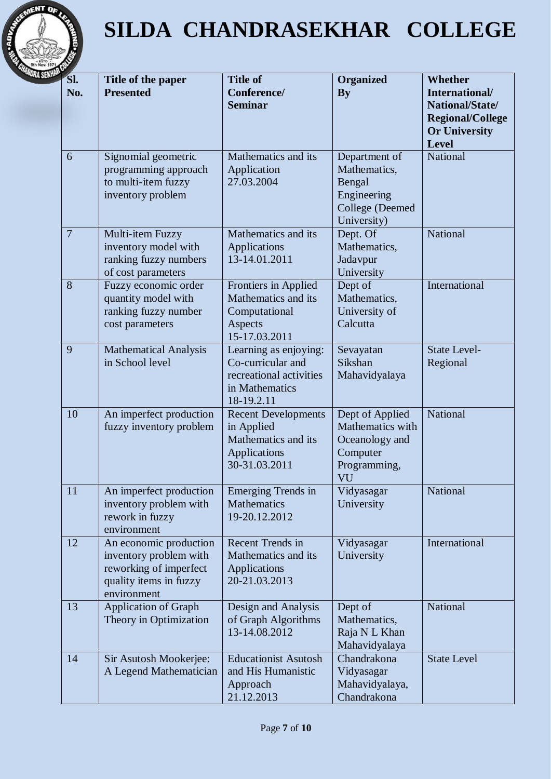

| SI.<br>No.     | Title of the paper<br><b>Presented</b>                                                                              | <b>Title of</b><br>Conference/<br><b>Seminar</b>                                                      | <b>Organized</b><br><b>By</b>                                                                  | <b>Whether</b><br>International/<br>National/State/<br><b>Regional/College</b><br><b>Or University</b><br><b>Level</b> |
|----------------|---------------------------------------------------------------------------------------------------------------------|-------------------------------------------------------------------------------------------------------|------------------------------------------------------------------------------------------------|------------------------------------------------------------------------------------------------------------------------|
| 6              | Signomial geometric<br>programming approach<br>to multi-item fuzzy<br>inventory problem                             | Mathematics and its<br>Application<br>27.03.2004                                                      | Department of<br>Mathematics,<br>Bengal<br>Engineering<br>College (Deemed<br>University)       | National                                                                                                               |
| $\overline{7}$ | Multi-item Fuzzy<br>inventory model with<br>ranking fuzzy numbers<br>of cost parameters                             | Mathematics and its<br>Applications<br>13-14.01.2011                                                  | Dept. Of<br>Mathematics,<br>Jadavpur<br>University                                             | National                                                                                                               |
| 8              | Fuzzy economic order<br>quantity model with<br>ranking fuzzy number<br>cost parameters                              | Frontiers in Applied<br>Mathematics and its<br>Computational<br>Aspects<br>15-17.03.2011              | Dept of<br>Mathematics,<br>University of<br>Calcutta                                           | International                                                                                                          |
| 9              | <b>Mathematical Analysis</b><br>in School level                                                                     | Learning as enjoying:<br>Co-curricular and<br>recreational activities<br>in Mathematics<br>18-19.2.11 | Sevayatan<br>Sikshan<br>Mahavidyalaya                                                          | <b>State Level-</b><br>Regional                                                                                        |
| 10             | An imperfect production<br>fuzzy inventory problem                                                                  | <b>Recent Developments</b><br>in Applied<br>Mathematics and its<br>Applications<br>30-31.03.2011      | Dept of Applied<br>Mathematics with<br>Oceanology and<br>Computer<br>Programming,<br><b>VU</b> | National                                                                                                               |
| 11             | An imperfect production<br>inventory problem with<br>rework in fuzzy<br>environment                                 | Emerging Trends in<br><b>Mathematics</b><br>19-20.12.2012                                             | Vidyasagar<br>University                                                                       | National                                                                                                               |
| 12             | An economic production<br>inventory problem with<br>reworking of imperfect<br>quality items in fuzzy<br>environment | <b>Recent Trends in</b><br>Mathematics and its<br>Applications<br>20-21.03.2013                       | Vidyasagar<br>University                                                                       | International                                                                                                          |
| 13             | <b>Application of Graph</b><br>Theory in Optimization                                                               | Design and Analysis<br>of Graph Algorithms<br>13-14.08.2012                                           | Dept of<br>Mathematics,<br>Raja N L Khan<br>Mahavidyalaya                                      | National                                                                                                               |
| 14             | Sir Asutosh Mookerjee:<br>A Legend Mathematician                                                                    | <b>Educationist Asutosh</b><br>and His Humanistic<br>Approach<br>21.12.2013                           | Chandrakona<br>Vidyasagar<br>Mahavidyalaya,<br>Chandrakona                                     | <b>State Level</b>                                                                                                     |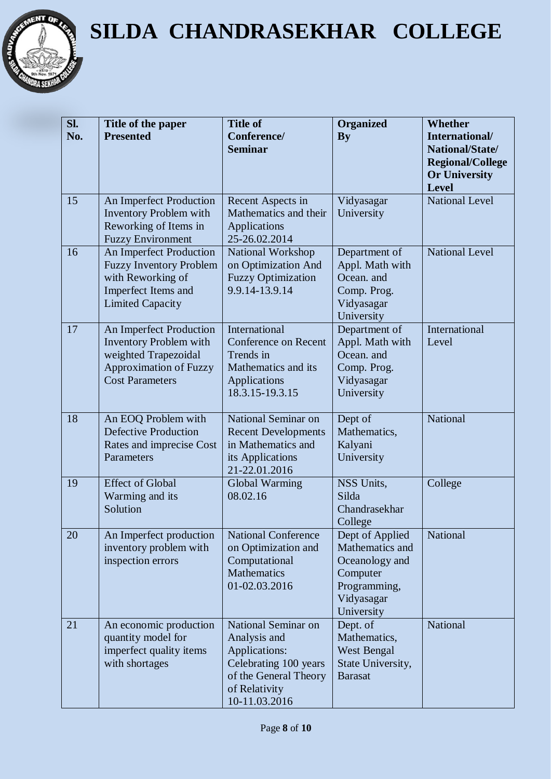

| SI. | Title of the paper                                        | <b>Title of</b>                                  | <b>Organized</b>                    | <b>Whether</b>                        |
|-----|-----------------------------------------------------------|--------------------------------------------------|-------------------------------------|---------------------------------------|
| No. | <b>Presented</b>                                          | Conference/<br><b>Seminar</b>                    | <b>By</b>                           | International/<br>National/State/     |
|     |                                                           |                                                  |                                     | <b>Regional/College</b>               |
|     |                                                           |                                                  |                                     | <b>Or University</b>                  |
| 15  | An Imperfect Production                                   | Recent Aspects in                                | Vidyasagar                          | <b>Level</b><br><b>National Level</b> |
|     | <b>Inventory Problem with</b>                             | Mathematics and their                            | University                          |                                       |
|     | Reworking of Items in                                     | Applications                                     |                                     |                                       |
|     | <b>Fuzzy Environment</b>                                  | 25-26.02.2014                                    |                                     |                                       |
| 16  | An Imperfect Production<br><b>Fuzzy Inventory Problem</b> | National Workshop<br>on Optimization And         | Department of<br>Appl. Math with    | <b>National Level</b>                 |
|     | with Reworking of                                         | <b>Fuzzy Optimization</b>                        | Ocean. and                          |                                       |
|     | Imperfect Items and                                       | 9.9.14-13.9.14                                   | Comp. Prog.                         |                                       |
|     | <b>Limited Capacity</b>                                   |                                                  | Vidyasagar<br>University            |                                       |
| 17  | An Imperfect Production                                   | <b>International</b>                             | Department of                       | International                         |
|     | <b>Inventory Problem with</b>                             | Conference on Recent                             | Appl. Math with                     | Level                                 |
|     | weighted Trapezoidal                                      | Trends in                                        | Ocean. and                          |                                       |
|     | <b>Approximation of Fuzzy</b><br><b>Cost Parameters</b>   | Mathematics and its<br>Applications              | Comp. Prog.<br>Vidyasagar           |                                       |
|     |                                                           | 18.3.15-19.3.15                                  | University                          |                                       |
|     |                                                           |                                                  |                                     |                                       |
| 18  | An EOQ Problem with                                       | National Seminar on                              | Dept of                             | National                              |
|     | <b>Defective Production</b><br>Rates and imprecise Cost   | <b>Recent Developments</b><br>in Mathematics and | Mathematics,<br>Kalyani             |                                       |
|     | Parameters                                                | its Applications                                 | University                          |                                       |
|     |                                                           | 21-22.01.2016                                    |                                     |                                       |
| 19  | <b>Effect of Global</b><br>Warming and its                | Global Warming<br>08.02.16                       | NSS Units,<br>Silda                 | College                               |
|     | Solution                                                  |                                                  | Chandrasekhar                       |                                       |
|     |                                                           |                                                  | College                             |                                       |
| 20  | An Imperfect production                                   | <b>National Conference</b>                       | Dept of Applied                     | National                              |
|     | inventory problem with<br>inspection errors               | on Optimization and<br>Computational             | Mathematics and<br>Oceanology and   |                                       |
|     |                                                           | <b>Mathematics</b>                               | Computer                            |                                       |
|     |                                                           | 01-02.03.2016                                    | Programming,                        |                                       |
|     |                                                           |                                                  | Vidyasagar                          |                                       |
| 21  | An economic production                                    | National Seminar on                              | University<br>Dept. of              | National                              |
|     | quantity model for                                        | Analysis and                                     | Mathematics,                        |                                       |
|     | imperfect quality items                                   | Applications:                                    | West Bengal                         |                                       |
|     | with shortages                                            | Celebrating 100 years<br>of the General Theory   | State University,<br><b>Barasat</b> |                                       |
|     |                                                           | of Relativity                                    |                                     |                                       |
|     |                                                           | 10-11.03.2016                                    |                                     |                                       |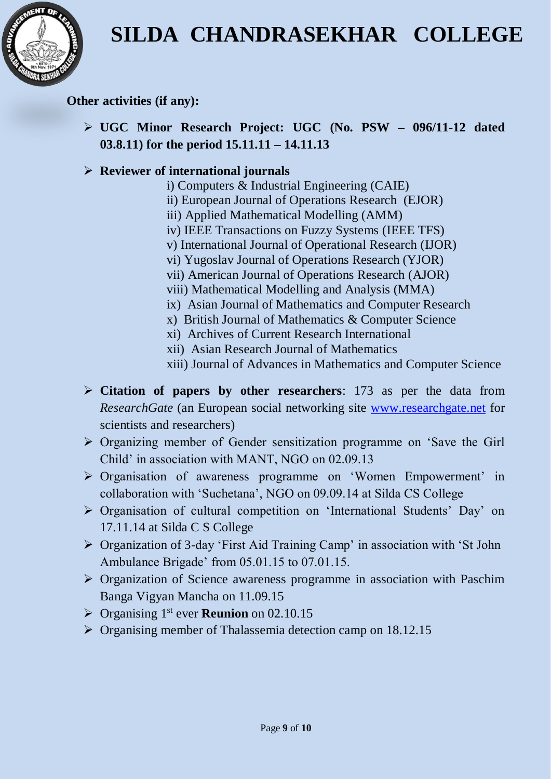

**Other activities (if any):**

 **UGC Minor Research Project: UGC (No. PSW – 096/11-12 dated 03.8.11) for the period 15.11.11 – 14.11.13**

#### **Reviewer of international journals**

- i) Computers & Industrial Engineering (CAIE)
- ii) European Journal of Operations Research (EJOR)
- iii) Applied Mathematical Modelling (AMM)
- iv) IEEE Transactions on Fuzzy Systems (IEEE TFS)
- v) International Journal of Operational Research (IJOR)
- vi) Yugoslav Journal of Operations Research (YJOR)
- vii) American Journal of Operations Research (AJOR)
- viii) Mathematical Modelling and Analysis (MMA)
- ix) [Asian Journal of Mathematics and Computer Research](http://www.ikpress.org/journal/44)
- x) [British Journal of Mathematics & Computer Science](http://sciencedomain.org/journal/6)
- xi) [Archives of Current Research International](http://sciencedomain.org/journal/41)
- xii) [Asian Research Journal of Mathematics](http://nrny.trk.elasticemail.com/tracking/click?msgid=nrny5j-5ggs0em6khnx2v&target=http%3a%2f%2fsciencedomain.org%2fjournal%2f2)
- xiii) [Journal of Advances in Mathematics and Computer Science](http://sciencedomain.org/journal/6)
- **Citation of papers by other researchers**: 173 as per the data from *ResearchGate* (an European social networking site [www.researchgate.net](http://www.researchgate.net/) for scientists and researchers)
- Organizing member of Gender sensitization programme on 'Save the Girl Child' in association with MANT, NGO on 02.09.13
- Organisation of awareness programme on 'Women Empowerment' in collaboration with 'Suchetana', NGO on 09.09.14 at Silda CS College
- Organisation of cultural competition on 'International Students' Day' on 17.11.14 at Silda C S College
- Organization of 3-day 'First Aid Training Camp' in association with 'St John Ambulance Brigade' from 05.01.15 to 07.01.15.
- $\triangleright$  Organization of Science awareness programme in association with Paschim Banga Vigyan Mancha on 11.09.15
- ▶ Organising 1<sup>st</sup> ever **Reunion** on 02.10.15
- $\triangleright$  Organising member of Thalassemia detection camp on 18.12.15